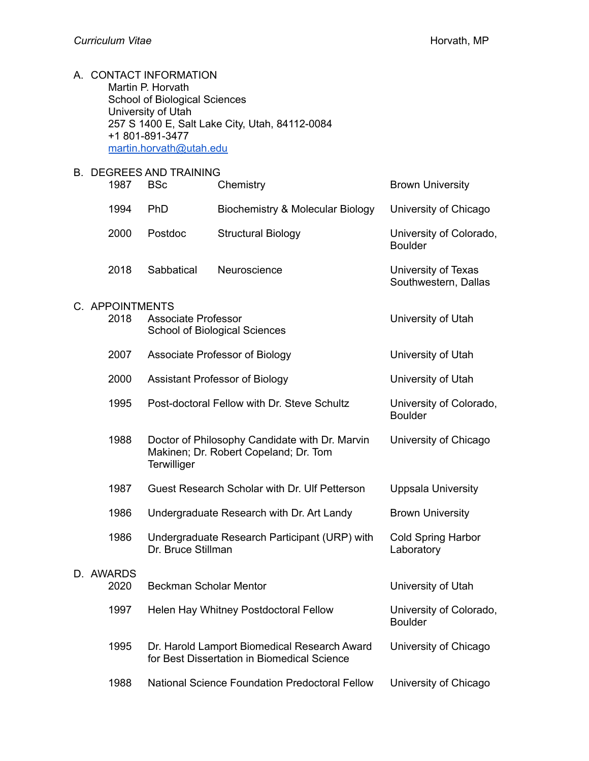| A. CONTACT INFORMATION                         |
|------------------------------------------------|
| Martin P. Horvath                              |
| School of Biological Sciences                  |
| University of Utah                             |
| 257 S 1400 E, Salt Lake City, Utah, 84112-0084 |
| +1 801-891-3477                                |
| martin.horvath@utah.edu                        |

#### B. DEGREES AND TRAINING

| 1987 | <b>BSc</b> | Chemistry                        | <b>Brown University</b>                     |
|------|------------|----------------------------------|---------------------------------------------|
| 1994 | PhD.       | Biochemistry & Molecular Biology | University of Chicago                       |
| 2000 | Postdoc    | <b>Structural Biology</b>        | University of Colorado,<br><b>Boulder</b>   |
| 2018 | Sabbatical | Neuroscience                     | University of Texas<br>Southwestern, Dallas |

# C. APPOINTMENTS

| 2018 | <b>Associate Professor</b><br><b>School of Biological Sciences</b>                                     | University of Utah                                      |
|------|--------------------------------------------------------------------------------------------------------|---------------------------------------------------------|
| 2007 | Associate Professor of Biology                                                                         | University of Utah                                      |
| 2000 | Assistant Professor of Biology                                                                         | University of Utah                                      |
| 1995 | Post-doctoral Fellow with Dr. Steve Schultz                                                            | University of Colorado,<br><b>Boulder</b>               |
| 1988 | Doctor of Philosophy Candidate with Dr. Marvin<br>Makinen; Dr. Robert Copeland; Dr. Tom<br>Terwilliger | University of Chicago                                   |
| 1987 | Guest Research Scholar with Dr. Ulf Petterson                                                          | <b>Uppsala University</b>                               |
| 1986 | Undergraduate Research with Dr. Art Landy                                                              | <b>Brown University</b>                                 |
| 1986 | Undergraduate Research Participant (URP) with<br>Dr. Bruce Stillman                                    | <b>Cold Spring Harbor</b><br>Laboratory                 |
|      |                                                                                                        | University of Utah                                      |
|      |                                                                                                        |                                                         |
| 1997 | Helen Hay Whitney Postdoctoral Fellow                                                                  | University of Colorado,<br><b>Boulder</b>               |
| 1995 | Dr. Harold Lamport Biomedical Research Award<br>for Best Dissertation in Biomedical Science            | University of Chicago                                   |
|      |                                                                                                        |                                                         |
|      | D. AWARDS<br>2020                                                                                      | <b>U. APPUINTMENTS</b><br><b>Beckman Scholar Mentor</b> |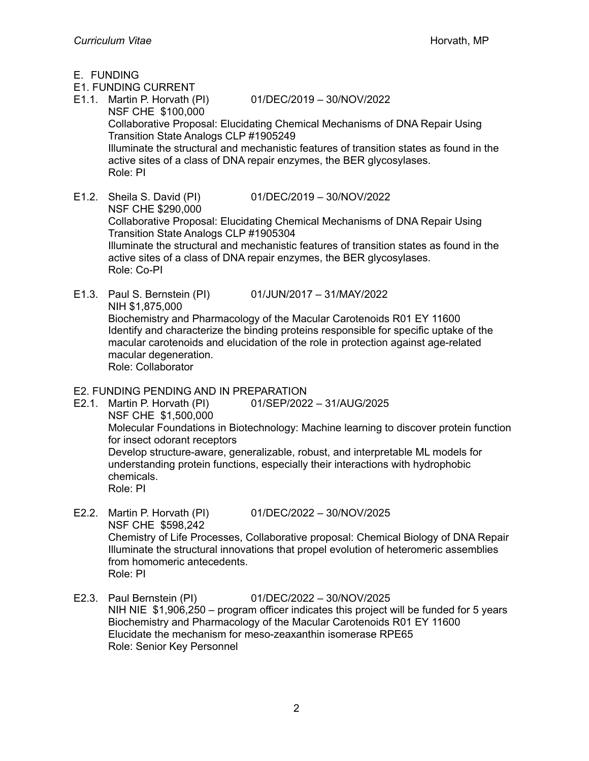- E. FUNDING
- E1. FUNDING CURRENT
- E1.1. Martin P. Horvath (PI) 01/DEC/2019 30/NOV/2022

- NSF CHE \$100,000 Collaborative Proposal: Elucidating Chemical Mechanisms of DNA Repair Using Transition State Analogs CLP #1905249 Illuminate the structural and mechanistic features of transition states as found in the active sites of a class of DNA repair enzymes, the BER glycosylases. Role: PI
- E1.2. Sheila S. David (PI) 01/DEC/2019 30/NOV/2022 NSF CHE \$290,000 Collaborative Proposal: Elucidating Chemical Mechanisms of DNA Repair Using Transition State Analogs CLP #1905304 Illuminate the structural and mechanistic features of transition states as found in the active sites of a class of DNA repair enzymes, the BER glycosylases. Role: Co-PI
- E1.3. Paul S. Bernstein (PI) 01/JUN/2017 31/MAY/2022 NIH \$1,875,000 Biochemistry and Pharmacology of the Macular Carotenoids R01 EY 11600 Identify and characterize the binding proteins responsible for specific uptake of the macular carotenoids and elucidation of the role in protection against age-related macular degeneration. Role: Collaborator

## E2. FUNDING PENDING AND IN PREPARATION

E2.1. Martin P. Horvath (PI) 01/SEP/2022 – 31/AUG/2025 NSF CHE \$1,500,000 Molecular Foundations in Biotechnology: Machine learning to discover protein function for insect odorant receptors Develop structure-aware, generalizable, robust, and interpretable ML models for understanding protein functions, especially their interactions with hydrophobic chemicals. Role: PI

- E2.2. Martin P. Horvath (PI) 01/DEC/2022 30/NOV/2025 NSF CHE \$598,242 Chemistry of Life Processes, Collaborative proposal: Chemical Biology of DNA Repair Illuminate the structural innovations that propel evolution of heteromeric assemblies from homomeric antecedents. Role: PI
- E2.3. Paul Bernstein (PI) 01/DEC/2022 30/NOV/2025 NIH NIE \$1,906,250 – program officer indicates this project will be funded for 5 years Biochemistry and Pharmacology of the Macular Carotenoids R01 EY 11600 Elucidate the mechanism for meso-zeaxanthin isomerase RPE65 Role: Senior Key Personnel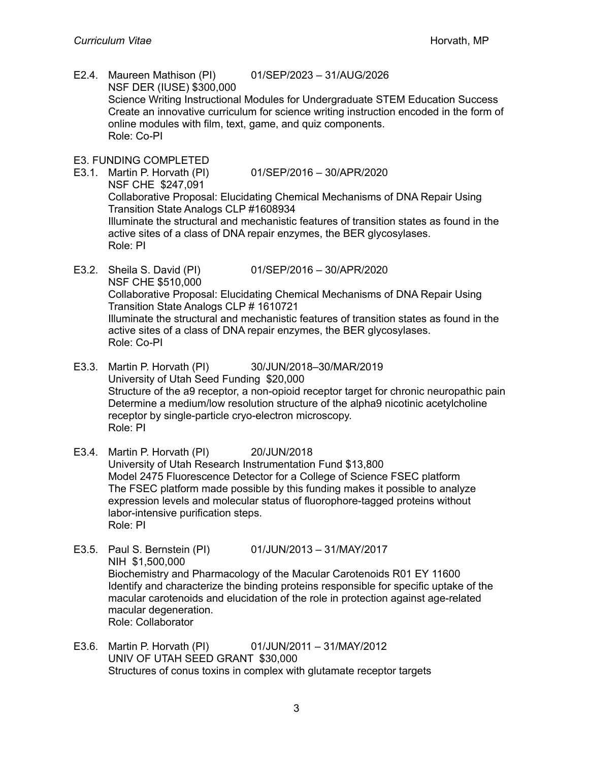- E2.4. Maureen Mathison (PI) 01/SEP/2023 31/AUG/2026 NSF DER (IUSE) \$300,000 Science Writing Instructional Modules for Undergraduate STEM Education Success Create an innovative curriculum for science writing instruction encoded in the form of online modules with film, text, game, and quiz components. Role: Co-PI
- E3. FUNDING COMPLETED
- E3.1. Martin P. Horvath (PI) 01/SEP/2016 30/APR/2020 NSF CHE \$247,091 Collaborative Proposal: Elucidating Chemical Mechanisms of DNA Repair Using Transition State Analogs CLP #1608934 Illuminate the structural and mechanistic features of transition states as found in the active sites of a class of DNA repair enzymes, the BER glycosylases. Role: PI
- E3.2. Sheila S. David (PI) 01/SEP/2016 30/APR/2020 NSF CHE \$510,000 Collaborative Proposal: Elucidating Chemical Mechanisms of DNA Repair Using Transition State Analogs CLP # 1610721 Illuminate the structural and mechanistic features of transition states as found in the active sites of a class of DNA repair enzymes, the BER glycosylases. Role: Co-PI
- E3.3. Martin P. Horvath (PI) 30/JUN/2018–30/MAR/2019 University of Utah Seed Funding \$20,000 Structure of the a9 receptor, a non-opioid receptor target for chronic neuropathic pain Determine a medium/low resolution structure of the alpha9 nicotinic acetylcholine receptor by single-particle cryo-electron microscopy. Role: PI
- E3.4. Martin P. Horvath (PI) 20/JUN/2018 University of Utah Research Instrumentation Fund \$13,800 Model 2475 Fluorescence Detector for a College of Science FSEC platform The FSEC platform made possible by this funding makes it possible to analyze expression levels and molecular status of fluorophore-tagged proteins without labor-intensive purification steps. Role: PI
- E3.5. Paul S. Bernstein (PI) 01/JUN/2013 31/MAY/2017 NIH \$1,500,000 Biochemistry and Pharmacology of the Macular Carotenoids R01 EY 11600 Identify and characterize the binding proteins responsible for specific uptake of the macular carotenoids and elucidation of the role in protection against age-related macular degeneration. Role: Collaborator
- E3.6. Martin P. Horvath (PI) 01/JUN/2011 31/MAY/2012 UNIV OF UTAH SEED GRANT \$30,000 Structures of conus toxins in complex with glutamate receptor targets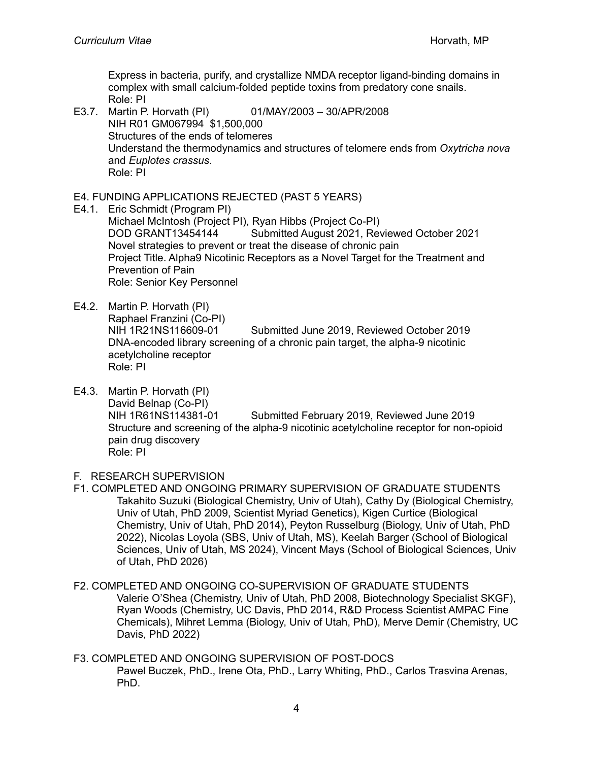Express in bacteria, purify, and crystallize NMDA receptor ligand-binding domains in complex with small calcium-folded peptide toxins from predatory cone snails. Role: PI

E3.7. Martin P. Horvath (PI) 01/MAY/2003 – 30/APR/2008 NIH R01 GM067994 \$1,500,000 Structures of the ends of telomeres Understand the thermodynamics and structures of telomere ends from *Oxytricha nova* and *Euplotes crassus*. Role: PI

## E4. FUNDING APPLICATIONS REJECTED (PAST 5 YEARS)

- E4.1. Eric Schmidt (Program PI) Michael McIntosh (Project PI), Ryan Hibbs (Project Co-PI) DOD GRANT13454144 Submitted August 2021, Reviewed October 2021 Novel strategies to prevent or treat the disease of chronic pain Project Title. Alpha9 Nicotinic Receptors as a Novel Target for the Treatment and Prevention of Pain Role: Senior Key Personnel
- E4.2. Martin P. Horvath (PI) Raphael Franzini (Co-PI) NIH 1R21NS116609-01 Submitted June 2019, Reviewed October 2019 DNA-encoded library screening of a chronic pain target, the alpha-9 nicotinic acetylcholine receptor Role: PI
- E4.3. Martin P. Horvath (PI) David Belnap (Co-PI) NIH 1R61NS114381-01 Submitted February 2019, Reviewed June 2019 Structure and screening of the alpha-9 nicotinic acetylcholine receptor for non-opioid pain drug discovery Role: PI
- F. RESEARCH SUPERVISION
- F1. COMPLETED AND ONGOING PRIMARY SUPERVISION OF GRADUATE STUDENTS Takahito Suzuki (Biological Chemistry, Univ of Utah), Cathy Dy (Biological Chemistry, Univ of Utah, PhD 2009, Scientist Myriad Genetics), Kigen Curtice (Biological Chemistry, Univ of Utah, PhD 2014), Peyton Russelburg (Biology, Univ of Utah, PhD 2022), Nicolas Loyola (SBS, Univ of Utah, MS), Keelah Barger (School of Biological Sciences, Univ of Utah, MS 2024), Vincent Mays (School of Biological Sciences, Univ of Utah, PhD 2026)
- F2. COMPLETED AND ONGOING CO-SUPERVISION OF GRADUATE STUDENTS Valerie O'Shea (Chemistry, Univ of Utah, PhD 2008, Biotechnology Specialist SKGF), Ryan Woods (Chemistry, UC Davis, PhD 2014, R&D Process Scientist AMPAC Fine Chemicals), Mihret Lemma (Biology, Univ of Utah, PhD), Merve Demir (Chemistry, UC Davis, PhD 2022)
- F3. COMPLETED AND ONGOING SUPERVISION OF POST-DOCS Pawel Buczek, PhD., Irene Ota, PhD., Larry Whiting, PhD., Carlos Trasvina Arenas, PhD.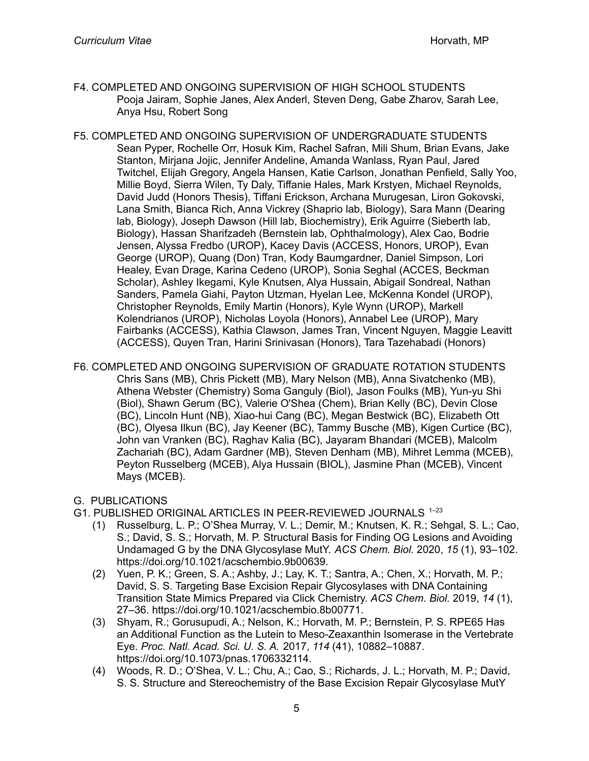- F4. COMPLETED AND ONGOING SUPERVISION OF HIGH SCHOOL STUDENTS Pooja Jairam, Sophie Janes, Alex Anderl, Steven Deng, Gabe Zharov, Sarah Lee, Anya Hsu, Robert Song
- F5. COMPLETED AND ONGOING SUPERVISION OF UNDERGRADUATE STUDENTS Sean Pyper, Rochelle Orr, Hosuk Kim, Rachel Safran, Mili Shum, Brian Evans, Jake Stanton, Mirjana Jojic, Jennifer Andeline, Amanda Wanlass, Ryan Paul, Jared Twitchel, Elijah Gregory, Angela Hansen, Katie Carlson, Jonathan Penfield, Sally Yoo, Millie Boyd, Sierra Wilen, Ty Daly, Tiffanie Hales, Mark Krstyen, Michael Reynolds, David Judd (Honors Thesis), Tiffani Erickson, Archana Murugesan, Liron Gokovski, Lana Smith, Bianca Rich, Anna Vickrey (Shaprio lab, Biology), Sara Mann (Dearing lab, Biology), Joseph Dawson (Hill lab, Biochemistry), Erik Aguirre (Sieberth lab, Biology), Hassan Sharifzadeh (Bernstein lab, Ophthalmology), Alex Cao, Bodrie Jensen, Alyssa Fredbo (UROP), Kacey Davis (ACCESS, Honors, UROP), Evan George (UROP), Quang (Don) Tran, Kody Baumgardner, Daniel Simpson, Lori Healey, Evan Drage, Karina Cedeno (UROP), Sonia Seghal (ACCES, Beckman Scholar), Ashley Ikegami, Kyle Knutsen, Alya Hussain, Abigail Sondreal, Nathan Sanders, Pamela Giahi, Payton Utzman, Hyelan Lee, McKenna Kondel (UROP), Christopher Reynolds, Emily Martin (Honors), Kyle Wynn (UROP), Markell Kolendrianos (UROP), Nicholas Loyola (Honors), Annabel Lee (UROP), Mary Fairbanks (ACCESS), Kathia Clawson, James Tran, Vincent Nguyen, Maggie Leavitt (ACCESS), Quyen Tran, Harini Srinivasan (Honors), Tara Tazehabadi (Honors)
- F6. COMPLETED AND ONGOING SUPERVISION OF GRADUATE ROTATION STUDENTS Chris Sans (MB), Chris Pickett (MB), Mary Nelson (MB), Anna Sivatchenko (MB), Athena Webster (Chemistry) Soma Ganguly (Biol), Jason Foulks (MB), Yun-yu Shi (Biol), Shawn Gerum (BC), Valerie O'Shea (Chem), Brian Kelly (BC), Devin Close (BC), Lincoln Hunt (NB), Xiao-hui Cang (BC), Megan Bestwick (BC), Elizabeth Ott (BC), Olyesa Ilkun (BC), Jay Keener (BC), Tammy Busche (MB), Kigen Curtice (BC), John van Vranken (BC), Raghav Kalia (BC), Jayaram Bhandari (MCEB), Malcolm Zachariah (BC), Adam Gardner (MB), Steven Denham (MB), Mihret Lemma (MCEB), Peyton Russelberg (MCEB), Alya Hussain (BIOL), Jasmine Phan (MCEB), Vincent Mays (MCEB).

## G. PUBLICATIONS

- G1. PUBLISHED ORIGINAL ARTICLES IN PEER-REVIEWED JOURNALS 1-23
	- (1) Russelburg, L. P.; O'Shea Murray, V. L.; Demir, M.; Knutsen, K. R.; Sehgal, S. L.; Cao, S.; David, S. S.; Horvath, M. P. Structural Basis for Finding OG Lesions and Avoiding Undamaged G by the DNA Glycosylase MutY. *ACS Chem. Biol.* 2020, *15* (1), 93–102. https://doi.org/10.1021/acschembio.9b00639.
	- (2) Yuen, P. K.; Green, S. A.; Ashby, J.; Lay, K. T.; Santra, A.; Chen, X.; Horvath, M. P.; David, S. S. Targeting Base Excision Repair Glycosylases with DNA Containing Transition State Mimics Prepared via Click Chemistry. *ACS Chem. Biol.* 2019, *14* (1), 27–36. https://doi.org/10.1021/acschembio.8b00771.
	- (3) Shyam, R.; Gorusupudi, A.; Nelson, K.; Horvath, M. P.; Bernstein, P. S. RPE65 Has an Additional Function as the Lutein to Meso-Zeaxanthin Isomerase in the Vertebrate Eye. *Proc. Natl. Acad. Sci. U. S. A.* 2017, *114* (41), 10882–10887. https://doi.org/10.1073/pnas.1706332114.
	- (4) Woods, R. D.; O'Shea, V. L.; Chu, A.; Cao, S.; Richards, J. L.; Horvath, M. P.; David, S. S. Structure and Stereochemistry of the Base Excision Repair Glycosylase MutY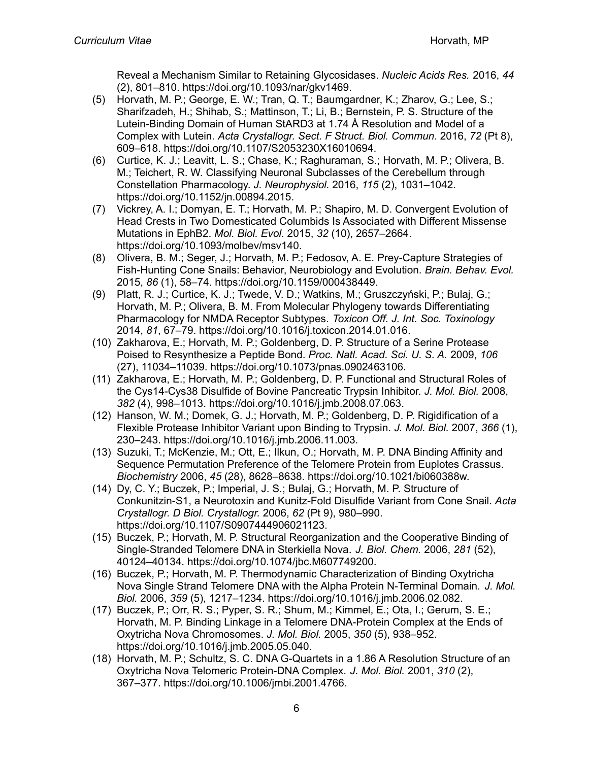Reveal a Mechanism Similar to Retaining Glycosidases. *Nucleic Acids Res.* 2016, *44* (2), 801–810. https://doi.org/10.1093/nar/gkv1469.

- (5) Horvath, M. P.; George, E. W.; Tran, Q. T.; Baumgardner, K.; Zharov, G.; Lee, S.; Sharifzadeh, H.; Shihab, S.; Mattinson, T.; Li, B.; Bernstein, P. S. Structure of the Lutein-Binding Domain of Human StARD3 at 1.74 Å Resolution and Model of a Complex with Lutein. *Acta Crystallogr. Sect. F Struct. Biol. Commun.* 2016, *72* (Pt 8), 609–618. https://doi.org/10.1107/S2053230X16010694.
- (6) Curtice, K. J.; Leavitt, L. S.; Chase, K.; Raghuraman, S.; Horvath, M. P.; Olivera, B. M.; Teichert, R. W. Classifying Neuronal Subclasses of the Cerebellum through Constellation Pharmacology. *J. Neurophysiol.* 2016, *115* (2), 1031–1042. https://doi.org/10.1152/jn.00894.2015.
- (7) Vickrey, A. I.; Domyan, E. T.; Horvath, M. P.; Shapiro, M. D. Convergent Evolution of Head Crests in Two Domesticated Columbids Is Associated with Different Missense Mutations in EphB2. *Mol. Biol. Evol.* 2015, *32* (10), 2657–2664. https://doi.org/10.1093/molbev/msv140.
- (8) Olivera, B. M.; Seger, J.; Horvath, M. P.; Fedosov, A. E. Prey-Capture Strategies of Fish-Hunting Cone Snails: Behavior, Neurobiology and Evolution. *Brain. Behav. Evol.* 2015, *86* (1), 58–74. https://doi.org/10.1159/000438449.
- (9) Platt, R. J.; Curtice, K. J.; Twede, V. D.; Watkins, M.; Gruszczyński, P.; Bulaj, G.; Horvath, M. P.; Olivera, B. M. From Molecular Phylogeny towards Differentiating Pharmacology for NMDA Receptor Subtypes. *Toxicon Off. J. Int. Soc. Toxinology* 2014, *81*, 67–79. https://doi.org/10.1016/j.toxicon.2014.01.016.
- (10) Zakharova, E.; Horvath, M. P.; Goldenberg, D. P. Structure of a Serine Protease Poised to Resynthesize a Peptide Bond. *Proc. Natl. Acad. Sci. U. S. A.* 2009, *106* (27), 11034–11039. https://doi.org/10.1073/pnas.0902463106.
- (11) Zakharova, E.; Horvath, M. P.; Goldenberg, D. P. Functional and Structural Roles of the Cys14-Cys38 Disulfide of Bovine Pancreatic Trypsin Inhibitor. *J. Mol. Biol.* 2008, *382* (4), 998–1013. https://doi.org/10.1016/j.jmb.2008.07.063.
- (12) Hanson, W. M.; Domek, G. J.; Horvath, M. P.; Goldenberg, D. P. Rigidification of a Flexible Protease Inhibitor Variant upon Binding to Trypsin. *J. Mol. Biol.* 2007, *366* (1), 230–243. https://doi.org/10.1016/j.jmb.2006.11.003.
- (13) Suzuki, T.; McKenzie, M.; Ott, E.; Ilkun, O.; Horvath, M. P. DNA Binding Affinity and Sequence Permutation Preference of the Telomere Protein from Euplotes Crassus. *Biochemistry* 2006, *45* (28), 8628–8638. https://doi.org/10.1021/bi060388w.
- (14) Dy, C. Y.; Buczek, P.; Imperial, J. S.; Bulaj, G.; Horvath, M. P. Structure of Conkunitzin-S1, a Neurotoxin and Kunitz-Fold Disulfide Variant from Cone Snail. *Acta Crystallogr. D Biol. Crystallogr.* 2006, *62* (Pt 9), 980–990. https://doi.org/10.1107/S0907444906021123.
- (15) Buczek, P.; Horvath, M. P. Structural Reorganization and the Cooperative Binding of Single-Stranded Telomere DNA in Sterkiella Nova. *J. Biol. Chem.* 2006, *281* (52), 40124–40134. https://doi.org/10.1074/jbc.M607749200.
- (16) Buczek, P.; Horvath, M. P. Thermodynamic Characterization of Binding Oxytricha Nova Single Strand Telomere DNA with the Alpha Protein N-Terminal Domain. *J. Mol. Biol.* 2006, *359* (5), 1217–1234. https://doi.org/10.1016/j.jmb.2006.02.082.
- (17) Buczek, P.; Orr, R. S.; Pyper, S. R.; Shum, M.; Kimmel, E.; Ota, I.; Gerum, S. E.; Horvath, M. P. Binding Linkage in a Telomere DNA-Protein Complex at the Ends of Oxytricha Nova Chromosomes. *J. Mol. Biol.* 2005, *350* (5), 938–952. https://doi.org/10.1016/j.jmb.2005.05.040.
- (18) Horvath, M. P.; Schultz, S. C. DNA G-Quartets in a 1.86 A Resolution Structure of an Oxytricha Nova Telomeric Protein-DNA Complex. *J. Mol. Biol.* 2001, *310* (2), 367–377. https://doi.org/10.1006/jmbi.2001.4766.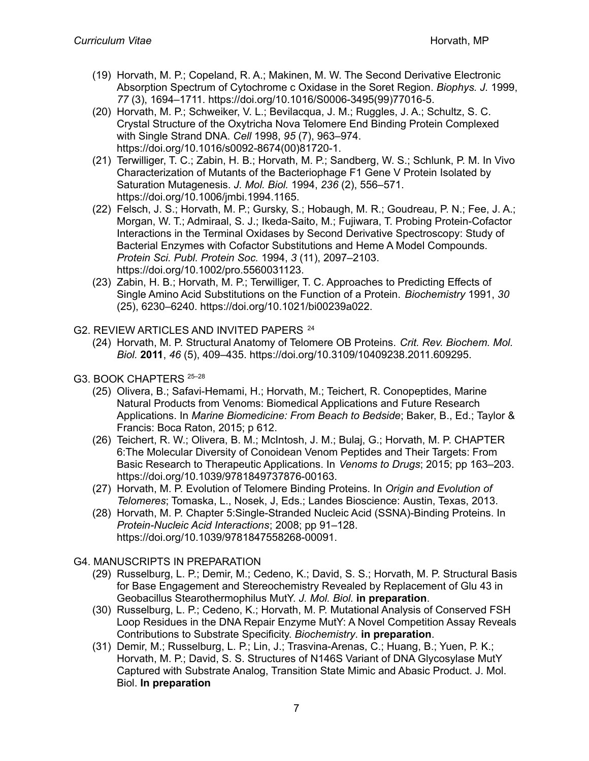- (19) Horvath, M. P.; Copeland, R. A.; Makinen, M. W. The Second Derivative Electronic Absorption Spectrum of Cytochrome c Oxidase in the Soret Region. *Biophys. J.* 1999, *77* (3), 1694–1711. https://doi.org/10.1016/S0006-3495(99)77016-5.
- (20) Horvath, M. P.; Schweiker, V. L.; Bevilacqua, J. M.; Ruggles, J. A.; Schultz, S. C. Crystal Structure of the Oxytricha Nova Telomere End Binding Protein Complexed with Single Strand DNA. *Cell* 1998, *95* (7), 963–974. https://doi.org/10.1016/s0092-8674(00)81720-1.
- (21) Terwilliger, T. C.; Zabin, H. B.; Horvath, M. P.; Sandberg, W. S.; Schlunk, P. M. In Vivo Characterization of Mutants of the Bacteriophage F1 Gene V Protein Isolated by Saturation Mutagenesis. *J. Mol. Biol.* 1994, *236* (2), 556–571. https://doi.org/10.1006/jmbi.1994.1165.
- (22) Felsch, J. S.; Horvath, M. P.; Gursky, S.; Hobaugh, M. R.; Goudreau, P. N.; Fee, J. A.; Morgan, W. T.; Admiraal, S. J.; Ikeda-Saito, M.; Fujiwara, T. Probing Protein-Cofactor Interactions in the Terminal Oxidases by Second Derivative Spectroscopy: Study of Bacterial Enzymes with Cofactor Substitutions and Heme A Model Compounds. *Protein Sci. Publ. Protein Soc.* 1994, *3* (11), 2097–2103. https://doi.org/10.1002/pro.5560031123.
- (23) Zabin, H. B.; Horvath, M. P.; Terwilliger, T. C. Approaches to Predicting Effects of Single Amino Acid Substitutions on the Function of a Protein. *Biochemistry* 1991, *30* (25), 6230–6240. https://doi.org/10.1021/bi00239a022.
- G2. REVIEW ARTICLES AND INVITED PAPERS<sup>24</sup>
	- (24) Horvath, M. P. Structural Anatomy of Telomere OB Proteins. *Crit. Rev. Biochem. Mol. Biol.* **2011**, *46* (5), 409–435. https://doi.org/10.3109/10409238.2011.609295.
- G3. BOOK CHAPTERS <sup>25-28</sup>
	- (25) Olivera, B.; Safavi-Hemami, H.; Horvath, M.; Teichert, R. Conopeptides, Marine Natural Products from Venoms: Biomedical Applications and Future Research Applications. In *Marine Biomedicine: From Beach to Bedside*; Baker, B., Ed.; Taylor & Francis: Boca Raton, 2015; p 612.
	- (26) Teichert, R. W.; Olivera, B. M.; McIntosh, J. M.; Bulaj, G.; Horvath, M. P. CHAPTER 6:The Molecular Diversity of Conoidean Venom Peptides and Their Targets: From Basic Research to Therapeutic Applications. In *Venoms to Drugs*; 2015; pp 163–203. https://doi.org/10.1039/9781849737876-00163.
	- (27) Horvath, M. P. Evolution of Telomere Binding Proteins. In *Origin and Evolution of Telomeres*; Tomaska, L., Nosek, J, Eds.; Landes Bioscience: Austin, Texas, 2013.
	- (28) Horvath, M. P. Chapter 5:Single-Stranded Nucleic Acid (SSNA)-Binding Proteins. In *Protein-Nucleic Acid Interactions*; 2008; pp 91–128. https://doi.org/10.1039/9781847558268-00091.
- G4. MANUSCRIPTS IN PREPARATION
	- (29) Russelburg, L. P.; Demir, M.; Cedeno, K.; David, S. S.; Horvath, M. P. Structural Basis for Base Engagement and Stereochemistry Revealed by Replacement of Glu 43 in Geobacillus Stearothermophilus MutY. *J. Mol. Biol.* **in preparation**.
	- (30) Russelburg, L. P.; Cedeno, K.; Horvath, M. P. Mutational Analysis of Conserved FSH Loop Residues in the DNA Repair Enzyme MutY: A Novel Competition Assay Reveals Contributions to Substrate Specificity. *Biochemistry*. **in preparation**.
	- (31) Demir, M.; Russelburg, L. P.; Lin, J.; Trasvina-Arenas, C.; Huang, B.; Yuen, P. K.; Horvath, M. P.; David, S. S. Structures of N146S Variant of DNA Glycosylase MutY Captured with Substrate Analog, Transition State Mimic and Abasic Product. J. Mol. Biol. **In preparation**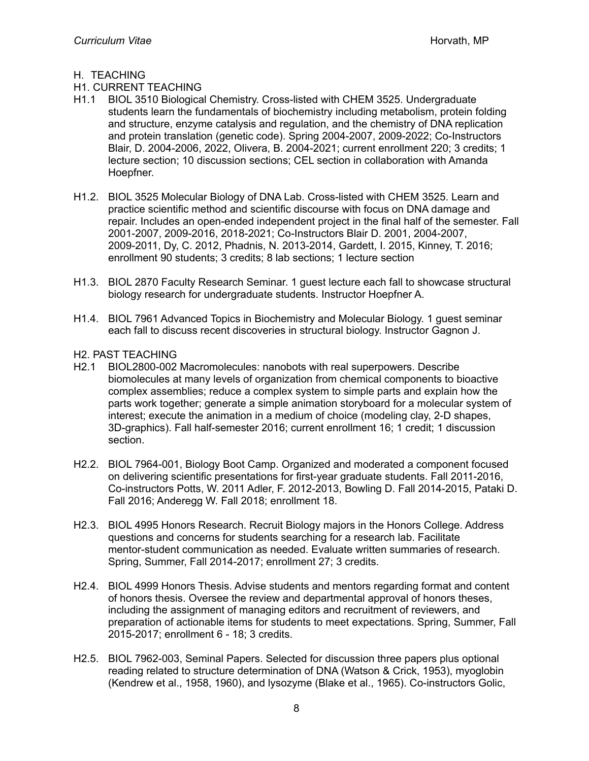#### H. TEACHING

## H1. CURRENT TEACHING

- H1.1 BIOL 3510 Biological Chemistry. Cross-listed with CHEM 3525. Undergraduate students learn the fundamentals of biochemistry including metabolism, protein folding and structure, enzyme catalysis and regulation, and the chemistry of DNA replication and protein translation (genetic code). Spring 2004-2007, 2009-2022; Co-Instructors Blair, D. 2004-2006, 2022, Olivera, B. 2004-2021; current enrollment 220; 3 credits; 1 lecture section; 10 discussion sections; CEL section in collaboration with Amanda Hoepfner.
- H1.2. BIOL 3525 Molecular Biology of DNA Lab. Cross-listed with CHEM 3525. Learn and practice scientific method and scientific discourse with focus on DNA damage and repair. Includes an open-ended independent project in the final half of the semester. Fall 2001-2007, 2009-2016, 2018-2021; Co-Instructors Blair D. 2001, 2004-2007, 2009-2011, Dy, C. 2012, Phadnis, N. 2013-2014, Gardett, I. 2015, Kinney, T. 2016; enrollment 90 students; 3 credits; 8 lab sections; 1 lecture section
- H1.3. BIOL 2870 Faculty Research Seminar. 1 guest lecture each fall to showcase structural biology research for undergraduate students. Instructor Hoepfner A.
- H1.4. BIOL 7961 Advanced Topics in Biochemistry and Molecular Biology. 1 guest seminar each fall to discuss recent discoveries in structural biology. Instructor Gagnon J.

#### H2. PAST TEACHING

- H2.1 BIOL2800-002 Macromolecules: nanobots with real superpowers. Describe biomolecules at many levels of organization from chemical components to bioactive complex assemblies; reduce a complex system to simple parts and explain how the parts work together; generate a simple animation storyboard for a molecular system of interest; execute the animation in a medium of choice (modeling clay, 2-D shapes, 3D-graphics). Fall half-semester 2016; current enrollment 16; 1 credit; 1 discussion section.
- H2.2. BIOL 7964-001, Biology Boot Camp. Organized and moderated a component focused on delivering scientific presentations for first-year graduate students. Fall 2011-2016, Co-instructors Potts, W. 2011 Adler, F. 2012-2013, Bowling D. Fall 2014-2015, Pataki D. Fall 2016; Anderegg W. Fall 2018; enrollment 18.
- H2.3. BIOL 4995 Honors Research. Recruit Biology majors in the Honors College. Address questions and concerns for students searching for a research lab. Facilitate mentor-student communication as needed. Evaluate written summaries of research. Spring, Summer, Fall 2014-2017; enrollment 27; 3 credits.
- H2.4. BIOL 4999 Honors Thesis. Advise students and mentors regarding format and content of honors thesis. Oversee the review and departmental approval of honors theses, including the assignment of managing editors and recruitment of reviewers, and preparation of actionable items for students to meet expectations. Spring, Summer, Fall 2015-2017; enrollment 6 - 18; 3 credits.
- H2.5. BIOL 7962-003, Seminal Papers. Selected for discussion three papers plus optional reading related to structure determination of DNA (Watson & Crick, 1953), myoglobin (Kendrew et al., 1958, 1960), and lysozyme (Blake et al., 1965). Co-instructors Golic,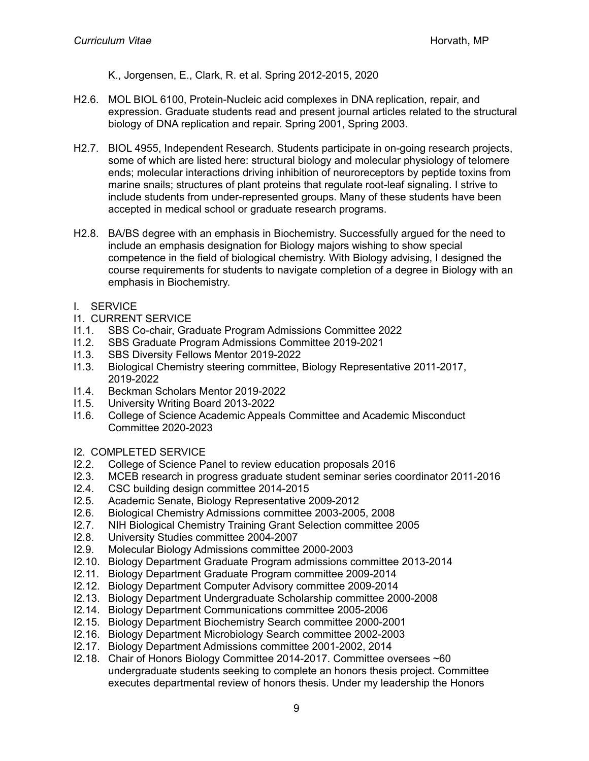K., Jorgensen, E., Clark, R. et al. Spring 2012-2015, 2020

- H2.6. MOL BIOL 6100, Protein-Nucleic acid complexes in DNA replication, repair, and expression. Graduate students read and present journal articles related to the structural biology of DNA replication and repair. Spring 2001, Spring 2003.
- H2.7. BIOL 4955, Independent Research. Students participate in on-going research projects, some of which are listed here: structural biology and molecular physiology of telomere ends; molecular interactions driving inhibition of neuroreceptors by peptide toxins from marine snails; structures of plant proteins that regulate root-leaf signaling. I strive to include students from under-represented groups. Many of these students have been accepted in medical school or graduate research programs.
- H2.8. BA/BS degree with an emphasis in Biochemistry. Successfully argued for the need to include an emphasis designation for Biology majors wishing to show special competence in the field of biological chemistry. With Biology advising, I designed the course requirements for students to navigate completion of a degree in Biology with an emphasis in Biochemistry.
- I. SERVICE
- I1. CURRENT SERVICE
- I1.1. SBS Co-chair, Graduate Program Admissions Committee 2022
- I1.2. SBS Graduate Program Admissions Committee 2019-2021
- I1.3. SBS Diversity Fellows Mentor 2019-2022
- I1.3. Biological Chemistry steering committee, Biology Representative 2011-2017, 2019-2022
- I1.4. Beckman Scholars Mentor 2019-2022
- I1.5. University Writing Board 2013-2022
- I1.6. College of Science Academic Appeals Committee and Academic Misconduct Committee 2020-2023
- I2. COMPLETED SERVICE
- I2.2. College of Science Panel to review education proposals 2016<br>I2.3. MCEB research in progress graduate student seminar series or
- I2.3. MCEB research in progress graduate student seminar series coordinator 2011-2016<br>I2.4. CSC building design committee 2014-2015
- CSC building design committee 2014-2015
- I2.5. Academic Senate, Biology Representative 2009-2012
- I2.6. Biological Chemistry Admissions committee 2003-2005, 2008
- I2.7. NIH Biological Chemistry Training Grant Selection committee 2005
- I2.8. University Studies committee 2004-2007
- I2.9. Molecular Biology Admissions committee 2000-2003
- I2.10. Biology Department Graduate Program admissions committee 2013-2014
- I2.11. Biology Department Graduate Program committee 2009-2014
- I2.12. Biology Department Computer Advisory committee 2009-2014
- I2.13. Biology Department Undergraduate Scholarship committee 2000-2008
- I2.14. Biology Department Communications committee 2005-2006
- I2.15. Biology Department Biochemistry Search committee 2000-2001
- I2.16. Biology Department Microbiology Search committee 2002-2003
- I2.17. Biology Department Admissions committee 2001-2002, 2014
- I2.18. Chair of Honors Biology Committee 2014-2017. Committee oversees ~60 undergraduate students seeking to complete an honors thesis project. Committee executes departmental review of honors thesis. Under my leadership the Honors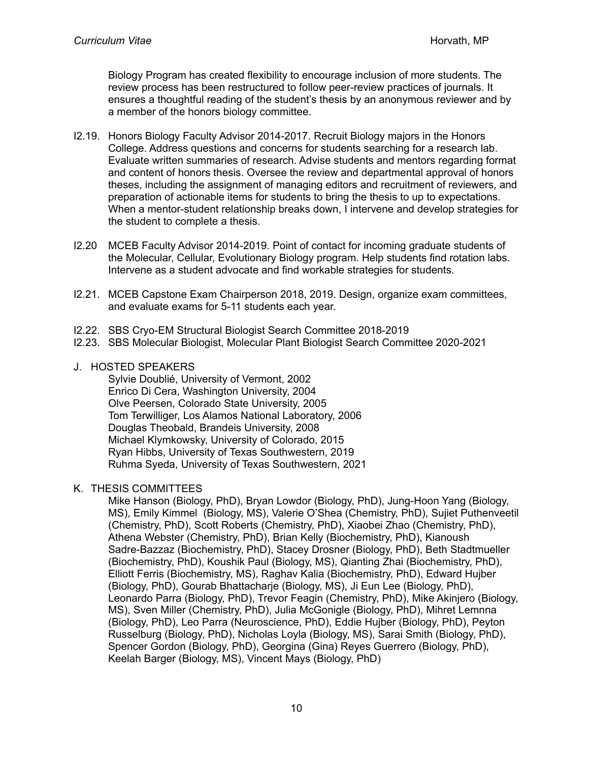Biology Program has created flexibility to encourage inclusion of more students. The review process has been restructured to follow peer-review practices of journals. It ensures a thoughtful reading of the student's thesis by an anonymous reviewer and by a member of the honors biology committee.

- I2.19. Honors Biology Faculty Advisor 2014-2017. Recruit Biology majors in the Honors College. Address questions and concerns for students searching for a research lab. Evaluate written summaries of research. Advise students and mentors regarding format and content of honors thesis. Oversee the review and departmental approval of honors theses, including the assignment of managing editors and recruitment of reviewers, and preparation of actionable items for students to bring the thesis to up to expectations. When a mentor-student relationship breaks down, I intervene and develop strategies for the student to complete a thesis.
- I2.20 MCEB Faculty Advisor 2014-2019. Point of contact for incoming graduate students of the Molecular, Cellular, Evolutionary Biology program. Help students find rotation labs. Intervene as a student advocate and find workable strategies for students.
- I2.21. MCEB Capstone Exam Chairperson 2018, 2019. Design, organize exam committees, and evaluate exams for 5-11 students each year.
- I2.22. SBS Cryo-EM Structural Biologist Search Committee 2018-2019
- I2.23. SBS Molecular Biologist, Molecular Plant Biologist Search Committee 2020-2021
- J. HOSTED SPEAKERS

Sylvie Doublié, University of Vermont, 2002 Enrico Di Cera, Washington University, 2004 Olve Peersen, Colorado State University, 2005 Tom Terwilliger, Los Alamos National Laboratory, 2006 Douglas Theobald, Brandeis University, 2008 Michael Klymkowsky, University of Colorado, 2015 Ryan Hibbs, University of Texas Southwestern, 2019 Ruhma Syeda, University of Texas Southwestern, 2021

K. THESIS COMMITTEES

Mike Hanson (Biology, PhD), Bryan Lowdor (Biology, PhD), Jung-Hoon Yang (Biology, MS), Emily Kimmel (Biology, MS), Valerie O'Shea (Chemistry, PhD), Sujiet Puthenveetil (Chemistry, PhD), Scott Roberts (Chemistry, PhD), Xiaobei Zhao (Chemistry, PhD), Athena Webster (Chemistry, PhD), Brian Kelly (Biochemistry, PhD), Kianoush Sadre-Bazzaz (Biochemistry, PhD), Stacey Drosner (Biology, PhD), Beth Stadtmueller (Biochemistry, PhD), Koushik Paul (Biology, MS), Qianting Zhai (Biochemistry, PhD), Elliott Ferris (Biochemistry, MS), Raghav Kalia (Biochemistry, PhD), Edward Hujber (Biology, PhD), Gourab Bhattacharje (Biology, MS), Ji Eun Lee (Biology, PhD), Leonardo Parra (Biology, PhD), Trevor Feagin (Chemistry, PhD), Mike Akinjero (Biology, MS), Sven Miller (Chemistry, PhD), Julia McGonigle (Biology, PhD), Mihret Lemnna (Biology, PhD), Leo Parra (Neuroscience, PhD), Eddie Hujber (Biology, PhD), Peyton Russelburg (Biology, PhD), Nicholas Loyla (Biology, MS), Sarai Smith (Biology, PhD), Spencer Gordon (Biology, PhD), Georgina (Gina) Reyes Guerrero (Biology, PhD), Keelah Barger (Biology, MS), Vincent Mays (Biology, PhD)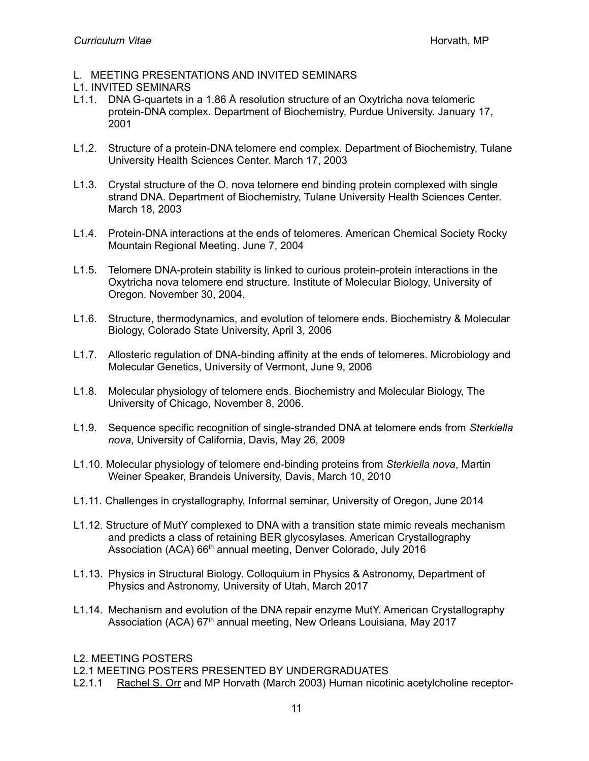- L. MEETING PRESENTATIONS AND INVITED SEMINARS
- L1. INVITED SEMINARS
- L1.1. DNA G-quartets in a 1.86 Å resolution structure of an Oxytricha nova telomeric protein-DNA complex. Department of Biochemistry, Purdue University. January 17, 2001
- L1.2. Structure of a protein-DNA telomere end complex. Department of Biochemistry, Tulane University Health Sciences Center. March 17, 2003
- L1.3. Crystal structure of the O. nova telomere end binding protein complexed with single strand DNA. Department of Biochemistry, Tulane University Health Sciences Center. March 18, 2003
- L1.4. Protein-DNA interactions at the ends of telomeres. American Chemical Society Rocky Mountain Regional Meeting. June 7, 2004
- L1.5. Telomere DNA-protein stability is linked to curious protein-protein interactions in the Oxytricha nova telomere end structure. Institute of Molecular Biology, University of Oregon. November 30, 2004.
- L1.6. Structure, thermodynamics, and evolution of telomere ends. Biochemistry & Molecular Biology, Colorado State University, April 3, 2006
- L1.7. Allosteric regulation of DNA-binding affinity at the ends of telomeres. Microbiology and Molecular Genetics, University of Vermont, June 9, 2006
- L1.8. Molecular physiology of telomere ends. Biochemistry and Molecular Biology, The University of Chicago, November 8, 2006.
- L1.9. Sequence specific recognition of single-stranded DNA at telomere ends from *Sterkiella nova*, University of California, Davis, May 26, 2009
- L1.10. Molecular physiology of telomere end-binding proteins from *Sterkiella nova*, Martin Weiner Speaker, Brandeis University, Davis, March 10, 2010
- L1.11. Challenges in crystallography, Informal seminar, University of Oregon, June 2014
- L1.12. Structure of MutY complexed to DNA with a transition state mimic reveals mechanism and predicts a class of retaining BER glycosylases. American Crystallography Association (ACA) 66<sup>th</sup> annual meeting, Denver Colorado, July 2016
- L1.13. Physics in Structural Biology. Colloquium in Physics & Astronomy, Department of Physics and Astronomy, University of Utah, March 2017
- L1.14. Mechanism and evolution of the DNA repair enzyme MutY. American Crystallography Association (ACA) 67<sup>th</sup> annual meeting, New Orleans Louisiana, May 2017
- L2. MEETING POSTERS

L2.1 MEETING POSTERS PRESENTED BY UNDERGRADUATES

L2.1.1 Rachel S. Orr and MP Horvath (March 2003) Human nicotinic acetylcholine receptor-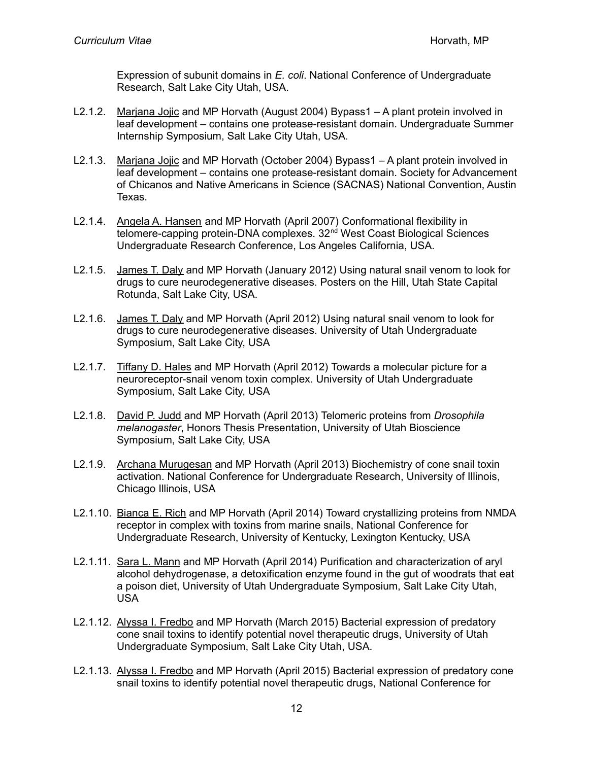Expression of subunit domains in *E. coli*. National Conference of Undergraduate Research, Salt Lake City Utah, USA.

- L2.1.2. Marjana Jojic and MP Horvath (August 2004) Bypass1 A plant protein involved in leaf development – contains one protease-resistant domain. Undergraduate Summer Internship Symposium, Salt Lake City Utah, USA.
- L2.1.3. Marjana Jojic and MP Horvath (October 2004) Bypass1 A plant protein involved in leaf development – contains one protease-resistant domain. Society for Advancement of Chicanos and Native Americans in Science (SACNAS) National Convention, Austin Texas.
- L2.1.4. Angela A. Hansen and MP Horvath (April 2007) Conformational flexibility in telomere-capping protein-DNA complexes. 32<sup>nd</sup> West Coast Biological Sciences Undergraduate Research Conference, Los Angeles California, USA.
- L2.1.5. James T. Daly and MP Horvath (January 2012) Using natural snail venom to look for drugs to cure neurodegenerative diseases. Posters on the Hill, Utah State Capital Rotunda, Salt Lake City, USA.
- L2.1.6. James T. Daly and MP Horvath (April 2012) Using natural snail venom to look for drugs to cure neurodegenerative diseases. University of Utah Undergraduate Symposium, Salt Lake City, USA
- L2.1.7. Tiffany D. Hales and MP Horvath (April 2012) Towards a molecular picture for a neuroreceptor-snail venom toxin complex. University of Utah Undergraduate Symposium, Salt Lake City, USA
- L2.1.8. David P. Judd and MP Horvath (April 2013) Telomeric proteins from *Drosophila melanogaster*, Honors Thesis Presentation, University of Utah Bioscience Symposium, Salt Lake City, USA
- L2.1.9. Archana Murugesan and MP Horvath (April 2013) Biochemistry of cone snail toxin activation. National Conference for Undergraduate Research, University of Illinois, Chicago Illinois, USA
- L2.1.10. Bianca E. Rich and MP Horvath (April 2014) Toward crystallizing proteins from NMDA receptor in complex with toxins from marine snails, National Conference for Undergraduate Research, University of Kentucky, Lexington Kentucky, USA
- L2.1.11. Sara L. Mann and MP Horvath (April 2014) Purification and characterization of aryl alcohol dehydrogenase, a detoxification enzyme found in the gut of woodrats that eat a poison diet, University of Utah Undergraduate Symposium, Salt Lake City Utah, USA
- L2.1.12. Alyssa I. Fredbo and MP Horvath (March 2015) Bacterial expression of predatory cone snail toxins to identify potential novel therapeutic drugs, University of Utah Undergraduate Symposium, Salt Lake City Utah, USA.
- L2.1.13. Alyssa I. Fredbo and MP Horvath (April 2015) Bacterial expression of predatory cone snail toxins to identify potential novel therapeutic drugs, National Conference for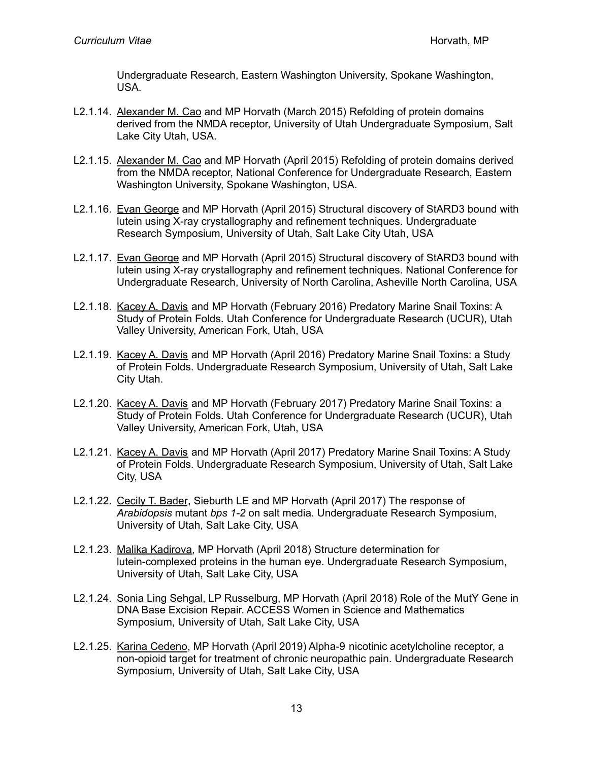Undergraduate Research, Eastern Washington University, Spokane Washington, USA.

- L2.1.14. Alexander M. Cao and MP Horvath (March 2015) Refolding of protein domains derived from the NMDA receptor, University of Utah Undergraduate Symposium, Salt Lake City Utah, USA.
- L2.1.15. Alexander M. Cao and MP Horvath (April 2015) Refolding of protein domains derived from the NMDA receptor, National Conference for Undergraduate Research, Eastern Washington University, Spokane Washington, USA.
- L2.1.16. Evan George and MP Horvath (April 2015) Structural discovery of StARD3 bound with lutein using X-ray crystallography and refinement techniques. Undergraduate Research Symposium, University of Utah, Salt Lake City Utah, USA
- L2.1.17. Evan George and MP Horvath (April 2015) Structural discovery of StARD3 bound with lutein using X-ray crystallography and refinement techniques. National Conference for Undergraduate Research, University of North Carolina, Asheville North Carolina, USA
- L2.1.18. Kacey A. Davis and MP Horvath (February 2016) Predatory Marine Snail Toxins: A Study of Protein Folds. Utah Conference for Undergraduate Research (UCUR), Utah Valley University, American Fork, Utah, USA
- L2.1.19. Kacey A. Davis and MP Horvath (April 2016) Predatory Marine Snail Toxins: a Study of Protein Folds. Undergraduate Research Symposium, University of Utah, Salt Lake City Utah.
- L2.1.20. Kacey A. Davis and MP Horvath (February 2017) Predatory Marine Snail Toxins: a Study of Protein Folds. Utah Conference for Undergraduate Research (UCUR), Utah Valley University, American Fork, Utah, USA
- L2.1.21. Kacey A. Davis and MP Horvath (April 2017) Predatory Marine Snail Toxins: A Study of Protein Folds. Undergraduate Research Symposium, University of Utah, Salt Lake City, USA
- L2.1.22. Cecily T. Bader, Sieburth LE and MP Horvath (April 2017) The response of *Arabidopsis* mutant *bps 1-2* on salt media. Undergraduate Research Symposium, University of Utah, Salt Lake City, USA
- L2.1.23. Malika Kadirova, MP Horvath (April 2018) Structure determination for lutein-complexed proteins in the human eye. Undergraduate Research Symposium, University of Utah, Salt Lake City, USA
- L2.1.24. Sonia Ling Sehgal, LP Russelburg, MP Horvath (April 2018) Role of the MutY Gene in DNA Base Excision Repair. ACCESS Women in Science and Mathematics Symposium, University of Utah, Salt Lake City, USA
- L2.1.25. Karina Cedeno, MP Horvath (April 2019) Alpha-9 nicotinic acetylcholine receptor, a non-opioid target for treatment of chronic neuropathic pain. Undergraduate Research Symposium, University of Utah, Salt Lake City, USA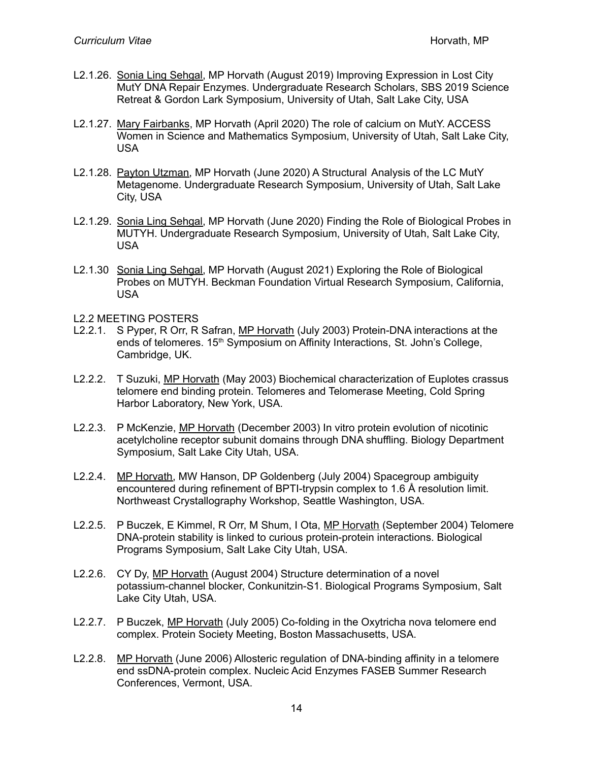- L2.1.26. Sonia Ling Sehgal, MP Horvath (August 2019) Improving Expression in Lost City MutY DNA Repair Enzymes. Undergraduate Research Scholars, SBS 2019 Science Retreat & Gordon Lark Symposium, University of Utah, Salt Lake City, USA
- L2.1.27. Mary Fairbanks, MP Horvath (April 2020) The role of calcium on MutY. ACCESS Women in Science and Mathematics Symposium, University of Utah, Salt Lake City, USA
- L2.1.28. Payton Utzman, MP Horvath (June 2020) A Structural Analysis of the LC MutY Metagenome. Undergraduate Research Symposium, University of Utah, Salt Lake City, USA
- L2.1.29. Sonia Ling Sehgal, MP Horvath (June 2020) Finding the Role of Biological Probes in MUTYH. Undergraduate Research Symposium, University of Utah, Salt Lake City, USA
- L2.1.30 Sonia Ling Sehgal, MP Horvath (August 2021) Exploring the Role of Biological Probes on MUTYH. Beckman Foundation Virtual Research Symposium, California, USA
- L2.2 MEETING POSTERS
- L2.2.1. S Pyper, R Orr, R Safran, MP Horvath (July 2003) Protein-DNA interactions at the ends of telomeres. 15<sup>th</sup> Symposium on Affinity Interactions, St. John's College, Cambridge, UK.
- L2.2.2. T Suzuki, MP Horvath (May 2003) Biochemical characterization of Euplotes crassus telomere end binding protein. Telomeres and Telomerase Meeting, Cold Spring Harbor Laboratory, New York, USA.
- L2.2.3. P McKenzie, MP Horvath (December 2003) In vitro protein evolution of nicotinic acetylcholine receptor subunit domains through DNA shuffling. Biology Department Symposium, Salt Lake City Utah, USA.
- L2.2.4. MP Horvath, MW Hanson, DP Goldenberg (July 2004) Spacegroup ambiguity encountered during refinement of BPTI-trypsin complex to 1.6 Å resolution limit. Northweast Crystallography Workshop, Seattle Washington, USA.
- L2.2.5. P Buczek, E Kimmel, R Orr, M Shum, I Ota, MP Horvath (September 2004) Telomere DNA-protein stability is linked to curious protein-protein interactions. Biological Programs Symposium, Salt Lake City Utah, USA.
- L2.2.6. CY Dy, MP Horvath (August 2004) Structure determination of a novel potassium-channel blocker, Conkunitzin-S1. Biological Programs Symposium, Salt Lake City Utah, USA.
- L2.2.7. P Buczek, MP Horvath (July 2005) Co-folding in the Oxytricha nova telomere end complex. Protein Society Meeting, Boston Massachusetts, USA.
- L2.2.8. MP Horvath (June 2006) Allosteric regulation of DNA-binding affinity in a telomere end ssDNA-protein complex. Nucleic Acid Enzymes FASEB Summer Research Conferences, Vermont, USA.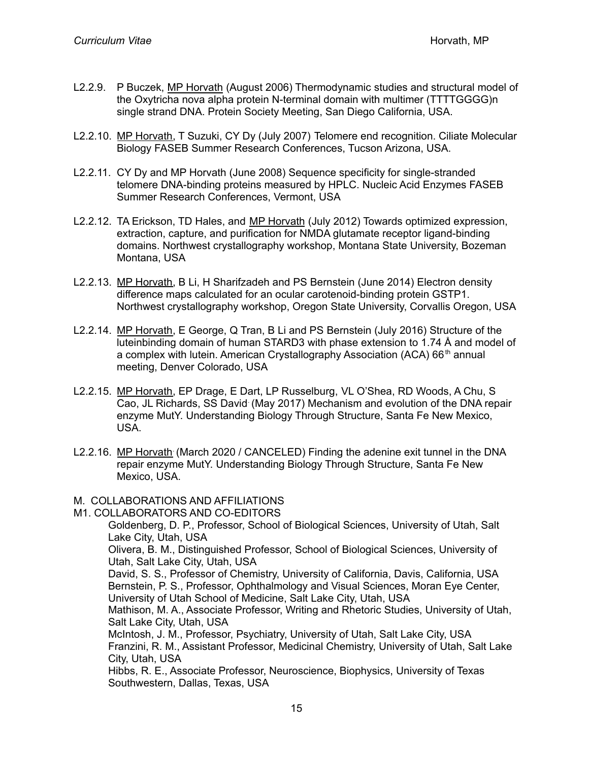- L2.2.9. P Buczek, MP Horvath (August 2006) Thermodynamic studies and structural model of the Oxytricha nova alpha protein N-terminal domain with multimer (TTTTGGGG)n single strand DNA. Protein Society Meeting, San Diego California, USA.
- L2.2.10. MP Horvath, T Suzuki, CY Dy (July 2007) Telomere end recognition. Ciliate Molecular Biology FASEB Summer Research Conferences, Tucson Arizona, USA.
- L2.2.11. CY Dy and MP Horvath (June 2008) Sequence specificity for single-stranded telomere DNA-binding proteins measured by HPLC. Nucleic Acid Enzymes FASEB Summer Research Conferences, Vermont, USA
- L2.2.12. TA Erickson, TD Hales, and MP Horvath (July 2012) Towards optimized expression, extraction, capture, and purification for NMDA glutamate receptor ligand-binding domains. Northwest crystallography workshop, Montana State University, Bozeman Montana, USA
- L2.2.13. MP Horvath, B Li, H Sharifzadeh and PS Bernstein (June 2014) Electron density difference maps calculated for an ocular carotenoid-binding protein GSTP1. Northwest crystallography workshop, Oregon State University, Corvallis Oregon, USA
- L2.2.14. MP Horvath, E George, Q Tran, B Li and PS Bernstein (July 2016) Structure of the luteinbinding domain of human STARD3 with phase extension to 1.74 Å and model of a complex with lutein. American Crystallography Association (ACA) 66<sup>th</sup> annual meeting, Denver Colorado, USA
- L2.2.15. MP Horvath, EP Drage, E Dart, LP Russelburg, VL O'Shea, RD Woods, A Chu, S Cao, JL Richards, SS David (May 2017) Mechanism and evolution of the DNA repair enzyme MutY. Understanding Biology Through Structure, Santa Fe New Mexico, USA.
- L2.2.16. MP Horvath (March 2020 / CANCELED) Finding the adenine exit tunnel in the DNA repair enzyme MutY. Understanding Biology Through Structure, Santa Fe New Mexico, USA.

#### M. COLLABORATIONS AND AFFILIATIONS

M1. COLLABORATORS AND CO-EDITORS

Goldenberg, D. P., Professor, School of Biological Sciences, University of Utah, Salt Lake City, Utah, USA

Olivera, B. M., Distinguished Professor, School of Biological Sciences, University of Utah, Salt Lake City, Utah, USA

David, S. S., Professor of Chemistry, University of California, Davis, California, USA Bernstein, P. S., Professor, Ophthalmology and Visual Sciences, Moran Eye Center, University of Utah School of Medicine, Salt Lake City, Utah, USA

Mathison, M. A., Associate Professor, Writing and Rhetoric Studies, University of Utah, Salt Lake City, Utah, USA

McIntosh, J. M., Professor, Psychiatry, University of Utah, Salt Lake City, USA Franzini, R. M., Assistant Professor, Medicinal Chemistry, University of Utah, Salt Lake City, Utah, USA

Hibbs, R. E., Associate Professor, Neuroscience, Biophysics, University of Texas Southwestern, Dallas, Texas, USA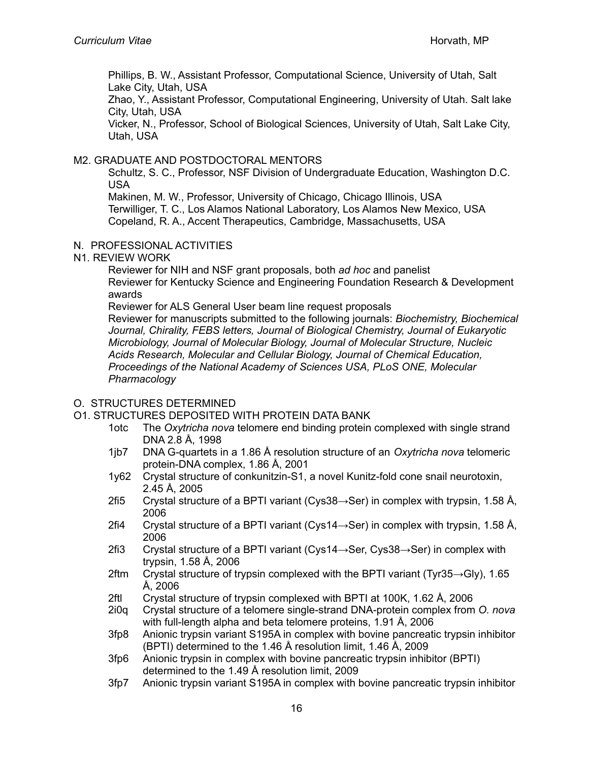Phillips, B. W., Assistant Professor, Computational Science, University of Utah, Salt Lake City, Utah, USA

Zhao, Y., Assistant Professor, Computational Engineering, University of Utah. Salt lake City, Utah, USA

Vicker, N., Professor, School of Biological Sciences, University of Utah, Salt Lake City, Utah, USA

## M2. GRADUATE AND POSTDOCTORAL MENTORS

Schultz, S. C., Professor, NSF Division of Undergraduate Education, Washington D.C. USA

Makinen, M. W., Professor, University of Chicago, Chicago Illinois, USA

Terwilliger, T. C., Los Alamos National Laboratory, Los Alamos New Mexico, USA Copeland, R. A., Accent Therapeutics, Cambridge, Massachusetts, USA

#### N. PROFESSIONAL ACTIVITIES

N1. REVIEW WORK

Reviewer for NIH and NSF grant proposals, both *ad hoc* and panelist Reviewer for Kentucky Science and Engineering Foundation Research & Development awards

Reviewer for ALS General User beam line request proposals

Reviewer for manuscripts submitted to the following journals: *Biochemistry, Biochemical Journal, Chirality, FEBS letters, Journal of Biological Chemistry, Journal of Eukaryotic Microbiology, Journal of Molecular Biology, Journal of Molecular Structure, Nucleic Acids Research, Molecular and Cellular Biology, Journal of Chemical Education, Proceedings of the National Academy of Sciences USA, PLoS ONE, Molecular Pharmacology*

## O. STRUCTURES DETERMINED

## O1. STRUCTURES DEPOSITED WITH PROTEIN DATA BANK

- 1otc The *Oxytricha nova* telomere end binding protein complexed with single strand DNA 2.8 Å, 1998
- 1jb7 DNA G-quartets in a 1.86 Å resolution structure of an *Oxytricha nova* telomeric protein-DNA complex, 1.86 Å, 2001
- 1y62 Crystal structure of conkunitzin-S1, a novel Kunitz-fold cone snail neurotoxin, 2.45 Å, 2005
- 2fi5 Crystal structure of a BPTI variant (Cys38 $\rightarrow$ Ser) in complex with trypsin, 1.58 Å, 2006
- 2fi4 Crystal structure of a BPTI variant (Cys14 $\rightarrow$ Ser) in complex with trypsin, 1.58 Å, 2006
- 2fi3 Crystal structure of a BPTI variant (Cys14→Ser, Cys38→Ser) in complex with trypsin, 1.58 Å, 2006
- 2ftm Crystal structure of trypsin complexed with the BPTI variant (Tyr35 $\rightarrow$ Gly), 1.65 Å, 2006
- 2ftl Crystal structure of trypsin complexed with BPTI at 100K, 1.62 Å, 2006
- 2i0q Crystal structure of a telomere single-strand DNA-protein complex from *O. nova* with full-length alpha and beta telomere proteins, 1.91 Å, 2006
- 3fp8 Anionic trypsin variant S195A in complex with bovine pancreatic trypsin inhibitor (BPTI) determined to the 1.46 Å resolution limit, 1.46 Å, 2009
- 3fp6 Anionic trypsin in complex with bovine pancreatic trypsin inhibitor (BPTI) determined to the 1.49 Å resolution limit, 2009
- 3fp7 Anionic trypsin variant S195A in complex with bovine pancreatic trypsin inhibitor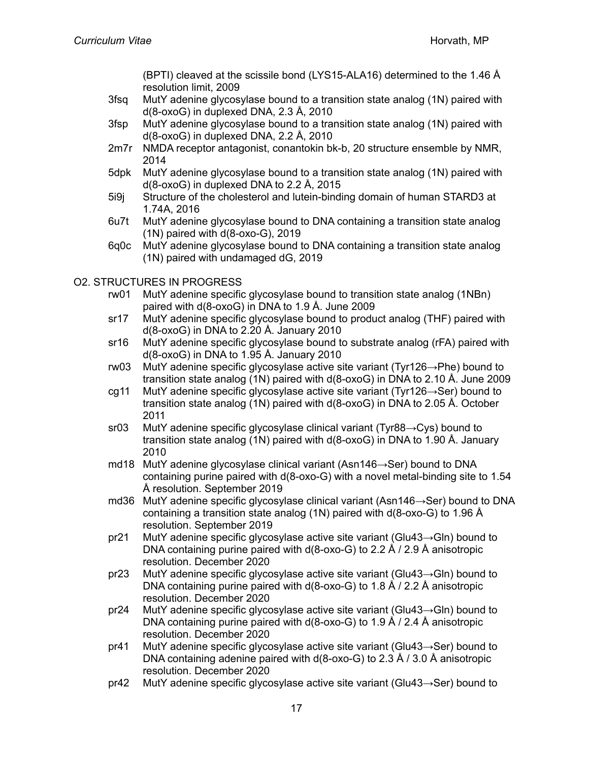(BPTI) cleaved at the scissile bond (LYS15-ALA16) determined to the 1.46 Å resolution limit, 2009

- 3fsq MutY adenine glycosylase bound to a transition state analog (1N) paired with d(8-oxoG) in duplexed DNA, 2.3 Å, 2010
- 3fsp MutY adenine glycosylase bound to a transition state analog (1N) paired with d(8-oxoG) in duplexed DNA, 2.2 Å, 2010
- 2m7r NMDA receptor antagonist, conantokin bk-b, 20 structure ensemble by NMR, 2014
- 5dpk MutY adenine glycosylase bound to a transition state analog (1N) paired with d(8-oxoG) in duplexed DNA to 2.2 Å, 2015
- 5i9j Structure of the cholesterol and lutein-binding domain of human STARD3 at 1.74A, 2016
- 6u7t MutY adenine glycosylase bound to DNA containing a transition state analog (1N) paired with d(8-oxo-G), 2019
- 6q0c MutY adenine glycosylase bound to DNA containing a transition state analog (1N) paired with undamaged dG, 2019

# O2. STRUCTURES IN PROGRESS

- rw01 MutY adenine specific glycosylase bound to transition state analog (1NBn) paired with d(8-oxoG) in DNA to 1.9 Å. June 2009
- sr17 MutY adenine specific glycosylase bound to product analog (THF) paired with d(8-oxoG) in DNA to 2.20 Å. January 2010
- sr16 MutY adenine specific glycosylase bound to substrate analog (rFA) paired with d(8-oxoG) in DNA to 1.95 Å. January 2010
- rw03 MutY adenine specific glycosylase active site variant (Tyr126→Phe) bound to transition state analog (1N) paired with d(8-oxoG) in DNA to 2.10 Å. June 2009
- cg11 MutY adenine specific glycosylase active site variant (Tyr126→Ser) bound to transition state analog (1N) paired with d(8-oxoG) in DNA to 2.05 Å. October 2011
- sr03 MutY adenine specific glycosylase clinical variant (Tyr88→Cys) bound to transition state analog (1N) paired with d(8-oxoG) in DNA to 1.90 Å. January 2010
- md18 MutY adenine glycosylase clinical variant (Asn146→Ser) bound to DNA containing purine paired with d(8-oxo-G) with a novel metal-binding site to 1.54 Å resolution. September 2019
- md36 MutY adenine specific glycosylase clinical variant (Asn146→Ser) bound to DNA containing a transition state analog (1N) paired with d(8-oxo-G) to 1.96 Å resolution. September 2019
- pr21 MutY adenine specific glycosylase active site variant (Glu43→Gln) bound to DNA containing purine paired with d(8-oxo-G) to 2.2 Å / 2.9 Å anisotropic resolution. December 2020
- pr23 MutY adenine specific glycosylase active site variant (Glu43→Gln) bound to DNA containing purine paired with d(8-oxo-G) to 1.8 Å / 2.2 Å anisotropic resolution. December 2020
- pr24 MutY adenine specific glycosylase active site variant (Glu43→Gln) bound to DNA containing purine paired with d(8-oxo-G) to 1.9 Å / 2.4 Å anisotropic resolution. December 2020
- pr41 MutY adenine specific glycosylase active site variant (Glu43→Ser) bound to DNA containing adenine paired with d(8-oxo-G) to 2.3 Å / 3.0 Å anisotropic resolution. December 2020
- pr42 MutY adenine specific glycosylase active site variant (Glu43→Ser) bound to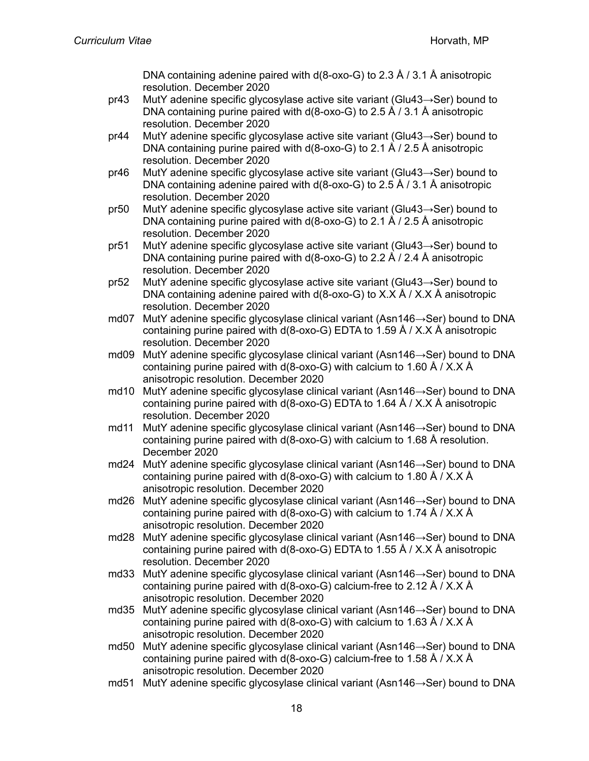DNA containing adenine paired with  $d(8$ -oxo-G) to 2.3 Å / 3.1 Å anisotropic resolution. December 2020

- pr43 MutY adenine specific glycosylase active site variant (Glu43→Ser) bound to DNA containing purine paired with d(8-oxo-G) to 2.5 Å / 3.1 Å anisotropic resolution. December 2020
- pr44 MutY adenine specific glycosylase active site variant (Glu43→Ser) bound to DNA containing purine paired with d(8-oxo-G) to 2.1 Å / 2.5 Å anisotropic resolution. December 2020
- pr46 MutY adenine specific glycosylase active site variant (Glu43→Ser) bound to DNA containing adenine paired with d(8-oxo-G) to 2.5 Å / 3.1 Å anisotropic resolution. December 2020
- pr50 MutY adenine specific glycosylase active site variant (Glu43→Ser) bound to DNA containing purine paired with d(8-oxo-G) to 2.1 Å / 2.5 Å anisotropic resolution. December 2020
- pr51 MutY adenine specific glycosylase active site variant (Glu43→Ser) bound to DNA containing purine paired with d(8-oxo-G) to 2.2 Å / 2.4 Å anisotropic resolution. December 2020
- pr52 MutY adenine specific glycosylase active site variant (Glu43→Ser) bound to DNA containing adenine paired with  $d(8$ -oxo-G) to X.X  $\AA$  / X.X  $\AA$  anisotropic resolution. December 2020
- md07 MutY adenine specific glycosylase clinical variant (Asn146→Ser) bound to DNA containing purine paired with d(8-oxo-G) EDTA to 1.59 Å / X.X Å anisotropic resolution. December 2020
- md09 MutY adenine specific glycosylase clinical variant (Asn146→Ser) bound to DNA containing purine paired with d(8-oxo-G) with calcium to 1.60 Å / X.X Å anisotropic resolution. December 2020
- md10 MutY adenine specific glycosylase clinical variant (Asn146→Ser) bound to DNA containing purine paired with  $d(8$ -oxo-G) EDTA to 1.64 Å / X.X Å anisotropic resolution. December 2020
- md11 MutY adenine specific glycosylase clinical variant (Asn146→Ser) bound to DNA containing purine paired with d(8-oxo-G) with calcium to 1.68 Å resolution. December 2020
- md24 MutY adenine specific glycosylase clinical variant (Asn146→Ser) bound to DNA containing purine paired with  $d(8-\alpha x - G)$  with calcium to 1.80 Å / X.X Å anisotropic resolution. December 2020
- md26 MutY adenine specific glycosylase clinical variant (Asn146→Ser) bound to DNA containing purine paired with  $d(8-\alpha x - G)$  with calcium to 1.74 Å / X.X Å anisotropic resolution. December 2020
- md28 MutY adenine specific glycosylase clinical variant (Asn146→Ser) bound to DNA containing purine paired with d(8-oxo-G) EDTA to 1.55 Å / X.X Å anisotropic resolution. December 2020
- md33 MutY adenine specific glycosylase clinical variant (Asn146→Ser) bound to DNA containing purine paired with  $d(8-\alpha x - G)$  calcium-free to 2.12 Å / X.X Å anisotropic resolution. December 2020
- md35 MutY adenine specific glycosylase clinical variant (Asn146→Ser) bound to DNA containing purine paired with d(8-oxo-G) with calcium to 1.63 Å / X.X Å anisotropic resolution. December 2020
- md50 MutY adenine specific glycosylase clinical variant (Asn146→Ser) bound to DNA containing purine paired with  $d(8-\alpha x - G)$  calcium-free to 1.58 Å / X.X Å anisotropic resolution. December 2020
- md51 MutY adenine specific glycosylase clinical variant (Asn146→Ser) bound to DNA